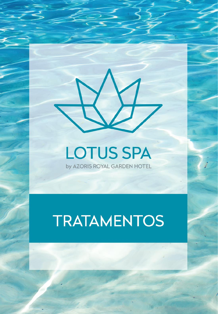# **LOTUS SPA** by AZORIS ROYAL GARDEN HOTEL

# **TRATAMENTOS**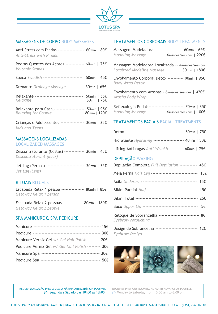

### MASSAGENS DE CORPO BODY MASSAGES

| Anti-Stress com Pindas ----------------- 60min   80€<br>Anti-Stress with Pindas |              |  |
|---------------------------------------------------------------------------------|--------------|--|
| Pedras Quentes dos Açores ------------- 60min   75€<br><i>Volcanic Stones</i>   |              |  |
| Sueca Swedish -------------------------- 50min   65€                            |              |  |
| Drenante Drainage Massage ------------ 50min   65€                              |              |  |
| Relaxante -------------------------------- 50min   55€<br>Relaxing              | 80min   75€  |  |
| Relaxante para Casal-------------------- 50min   95€<br>Relaxing for Couple     | 80min   120€ |  |
| Crianças e Adolescentes --------------- 30min   35€<br>Kids and Teens           |              |  |

#### MASSAGENS LOCALIZADAS LOCALIZADED MASSAGES

| Descontraturante (Costas) -------------- 30min   45€ |  |  |
|------------------------------------------------------|--|--|
| Descontraturant (Back)                               |  |  |

Jet Lag (Pernas) -------------------------- 30min | 35€ *Jet Lag (Legs)* 

# RITUAIS RITUALS

Escapada Relax 1 pessoa ---------------- 80min | 85€ *Getaway Relax 1 person*

Escapada Relax 2 pessoas ------------- 80min | 180€ *Getaway Relax 2 people*

# SPA MANICURE & SPA PEDICURE

| Manicure Verniz Gel w/ Gel Nail Polish -------- 20€  |  |
|------------------------------------------------------|--|
| Pedicure Verniz Gel w/ Gel Nail Polish --------- 30€ |  |
|                                                      |  |
|                                                      |  |

# TRATAMENTOS CORPORAIS BODY TREATMENTS

|                  | Massagem Modeladora ----------------- 60min   65€ |
|------------------|---------------------------------------------------|
| Modeling Massage | 4sessões/sessions   220€                          |

Massagem Modeladora Localizada *--* 4sessões/sessions *Localized Modeling Massage* 30min | 180€

Envolvimento Corporal Detox ----------- 90min | 95€ *Body Wrap Detox*

Envolvimento com Aroshas - 6sessões/sessions | 420€ *Arosha Body Wrap*

| Reflexologia Podal------------------------- 30min   35€ |                          |  |  |
|---------------------------------------------------------|--------------------------|--|--|
| Modeling Massage                                        | 4sessões/sessions   100€ |  |  |

#### TRATAMENTOS FACIAIS FACIAL TREATMENTS

| Hidratante <i>Hydrating</i> --------------------- 40min   50€ |  |  |
|---------------------------------------------------------------|--|--|
| Lifting Anti-rugas Anti-Wrinkle --------- 60min   75€         |  |  |

# DEPILAÇÃO WAXING

| Depilação Completa Full Depilation ------------ 45€                          |  |
|------------------------------------------------------------------------------|--|
| Meia Perna Half Leg -------------------------------- 18€                     |  |
|                                                                              |  |
| Bikini Parcial Half ----------------------------------- 15€                  |  |
|                                                                              |  |
|                                                                              |  |
| Retoque de Sobrancelha ---------------------------- 8€<br>Eyebrow retouching |  |
| Design de Sobrancelha ----------------------------- 12€<br>Eyebrow Design    |  |



REQUER MARCAÇÃO PRÉVIA COM A MÁXIMA ANTECEDÊNCIA POSSÍVEL Segunda a Sábado das 10h00 às 18h00.

REQUIRES PREVIOUS BOOKING AS FAR IN ADVANCE AS POSSIBLE. Monday to Saturday from 10:00 am to 6:00 pm.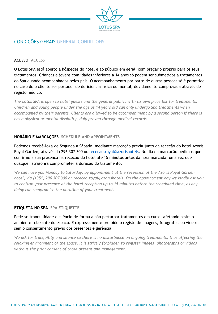

# CONDIÇÕES GERAIS GENERAL CONDITIONS

#### **ACESSO ACCESS**

O Lotus SPA está aberto a hóspedes do hotel e ao público em geral, com preçário próprio para os seus tratamentos. Crianças e jovens com idades inferiores a 14 anos só podem ser submetidos a tratamentos do Spa quando acompanhados pelos pais. O acompanhamento por parte de outras pessoas só é permitido no caso de o cliente ser portador de deficiência física ou mental, devidamente comprovada através de registo médico.

*The Lotus SPA is open to hotel guests and the general public, with its own price list for treatments. Children and young people under the age of 14 years old can only undergo Spa treatments when accompanied by their parents. Clients are allowed to be accompaniment by a second person if there is has a physical or mental disability, duly proven through medical records.*

#### **HORÁRIO E MARCAÇÕES SCHEDULE AND APPOINTMENTS**

Podemos recebê-lo/a de Segunda a Sábado, mediante marcação prévia junto da receção do hotel Azoris Royal Garden, através do 296 307 300 ou [rececao.royal@azorishotels.](mailto:rececao.royal@azorishotels) No dia da marcação pedimos que confirme a sua presença na receção do hotel até 15 minutos antes da hora marcada, uma vez que qualquer atraso irá comprometer a duração do tratamento.

*We can have you Monday to Saturday, by appointment at the reception of the Azoris Royal Garden hotel, via (+351) 296 307 300 or rececao.royal@azorishotels. On the appointment day we kindly ask you to confirm your presence at the hotel reception up to 15 minutes before the scheduled time, as any delay can compromise the duration of your treatment.*

#### **ETIQUETA NO SPA SPA ETIQUETTE**

Pede-se tranquilidade e silêncio de forma a não perturbar tratamentos em curso, afetando assim o ambiente relaxante do espaço. É expressamente proibido o registo de imagens, fotografias ou vídeos, sem o consentimento prévio dos presentes e gerência.

*We ask for tranquility and silence so there is no disturbance on ongoing treatments, thus affecting the relaxing environment of the space. It is strictly forbidden to register images, photographs or videos without the prior consent of those present and management.*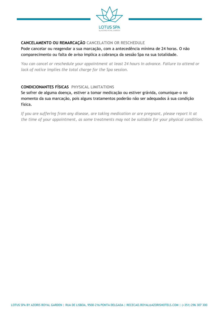

# **CANCELAMENTO OU REMARCAÇÃO CANCELATION OR RESCHEDULE**

Pode cancelar ou reagendar a sua marcação, com a antecedência mínima de 24 horas. O não comparecimento ou falta de aviso implica a cobrança da sessão Spa na sua totalidade.

*You can cancel or reschedule your appointment at least 24 hours in advance. Failure to attend or lack of notice implies the total charge for the Spa session.*

#### **CONDICIONANTES FÍSICAS PHYSICAL LIMITATIONS**

Se sofrer de alguma doença, estiver a tomar medicação ou estiver grávida, comunique-o no momento da sua marcação, pois alguns tratamentos poderão não ser adequados à sua condição física.

*If you are suffering from any disease, are taking medication or are pregnant, please report it at the time of your appointment, as some treatments may not be suitable for your physical condition.*